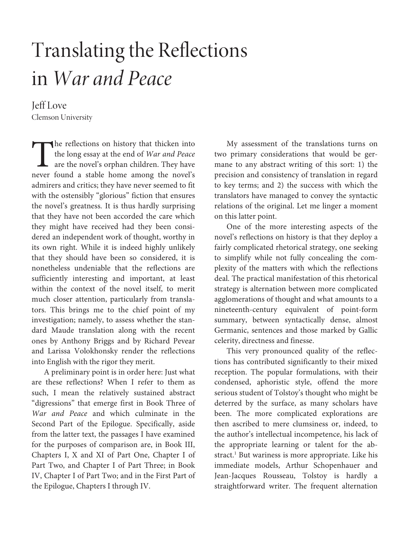# Translating the Reflections in War and Peace

## Jeff Love Clemson University

he reflections on history that thicken into the long essay at the end of War and Peace are the novel's orphan children. They have The reflections on history that thicken into<br>the long essay at the end of *War and Peace*<br>are the novel's orphan children. They have<br>never found a stable home among the novel's admirers and critics; they have never seemed to fit with the ostensibly "glorious" fiction that ensures the novel's greatness. It is thus hardly surprising that they have not been accorded the care which they might have received had they been considered an independent work of thought, worthy in its own right. While it is indeed highly unlikely that they should have been so considered, it is nonetheless undeniable that the reflections are sufficiently interesting and important, at least within the context of the novel itself, to merit much closer attention, particularly from translators. This brings me to the chief point of my investigation; namely, to assess whether the standard Maude translation along with the recent ones by Anthony Briggs and by Richard Pevear and Larissa Volokhonsky render the reflections into English with the rigor they merit.

A preliminary point is in order here: Just what are these reflections? When I refer to them as such, I mean the relatively sustained abstract "digressions" that emerge first in Book Three of War and Peace and which culminate in the Second Part of the Epilogue. Specifically, aside from the latter text, the passages I have examined for the purposes of comparison are, in Book III, Chapters I, X and XI of Part One, Chapter I of Part Two, and Chapter I of Part Three; in Book IV, Chapter I of Part Two; and in the First Part of the Epilogue, Chapters I through IV.

My assessment of the translations turns on two primary considerations that would be germane to any abstract writing of this sort: 1) the precision and consistency of translation in regard to key terms; and 2) the success with which the translators have managed to convey the syntactic relations of the original. Let me linger a moment on this latter point.

One of the more interesting aspects of the novel's reflections on history is that they deploy a fairly complicated rhetorical strategy, one seeking to simplify while not fully concealing the complexity of the matters with which the reflections deal. The practical manifestation of this rhetorical strategy is alternation between more complicated agglomerations of thought and what amounts to a nineteenth-century equivalent of point-form summary, between syntactically dense, almost Germanic, sentences and those marked by Gallic celerity, directness and finesse.

This very pronounced quality of the reflections has contributed significantly to their mixed reception. The popular formulations, with their condensed, aphoristic style, offend the more serious student of Tolstoy's thought who might be deterred by the surface, as many scholars have been. The more complicated explorations are then ascribed to mere clumsiness or, indeed, to the author's intellectual incompetence, his lack of the appropriate learning or talent for the abstract.<sup>1</sup> But wariness is more appropriate. Like his immediate models, Arthur Schopenhauer and Jean-Jacques Rousseau, Tolstoy is hardly a straightforward writer. The frequent alternation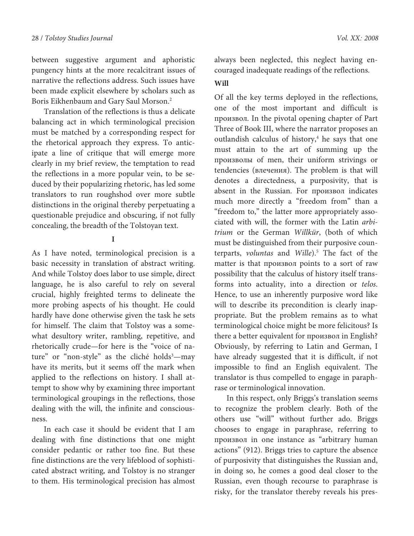between suggestive argument and aphoristic pungency hints at the more recalcitrant issues of narrative the reflections address. Such issues have been made explicit elsewhere by scholars such as Boris Eikhenbaum and Gary Saul Morson.<sup>2</sup>

Translation of the reflections is thus a delicate balancing act in which terminological precision must be matched by a corresponding respect for the rhetorical approach they express. To anticipate a line of critique that will emerge more clearly in my brief review, the temptation to read the reflections in a more popular vein, to be seduced by their popularizing rhetoric, has led some translators to run roughshod over more subtle distinctions in the original thereby perpetuating a questionable prejudice and obscuring, if not fully concealing, the breadth of the Tolstoyan text.

**I** 

As I have noted, terminological precision is a basic necessity in translation of abstract writing. And while Tolstoy does labor to use simple, direct language, he is also careful to rely on several crucial, highly freighted terms to delineate the more probing aspects of his thought. He could hardly have done otherwise given the task he sets for himself. The claim that Tolstoy was a somewhat desultory writer, rambling, repetitive, and rhetorically crude—for here is the "voice of nature" or "non-style" as the cliché holds<sup>3</sup>—may have its merits, but it seems off the mark when applied to the reflections on history. I shall attempt to show why by examining three important terminological groupings in the reflections, those dealing with the will, the infinite and consciousness.

In each case it should be evident that I am dealing with fine distinctions that one might consider pedantic or rather too fine. But these fine distinctions are the very lifeblood of sophisticated abstract writing, and Tolstoy is no stranger to them. His terminological precision has almost always been neglected, this neglect having encouraged inadequate readings of the reflections.

#### **Will**

Of all the key terms deployed in the reflections, one of the most important and difficult is произвол. In the pivotal opening chapter of Part Three of Book III, where the narrator proposes an outlandish calculus of history,<sup>4</sup> he says that one must attain to the art of summing up the произволы of men, their uniform strivings or tendencies (влечения). The problem is that will denotes a directedness, a purposivity, that is absent in the Russian. For произвол indicates much more directly a "freedom from" than a "freedom to," the latter more appropriately associated with will, the former with the Latin arbitrium or the German Willkür, (both of which must be distinguished from their purposive counterparts, *voluntas* and *Wille*).<sup>5</sup> The fact of the matter is that произвол points to a sort of raw possibility that the calculus of history itself transforms into actuality, into a direction or telos. Hence, to use an inherently purposive word like will to describe its precondition is clearly inappropriate. But the problem remains as to what terminological choice might be more felicitous? Is there a better equivalent for произвол in English? Obviously, by referring to Latin and German, I have already suggested that it is difficult, if not impossible to find an English equivalent. The translator is thus compelled to engage in paraphrase or terminological innovation.

In this respect, only Briggs's translation seems to recognize the problem clearly. Both of the others use "will" without further ado. Briggs chooses to engage in paraphrase, referring to произвол in one instance as "arbitrary human actions" (912). Briggs tries to capture the absence of purposivity that distinguishes the Russian and, in doing so, he comes a good deal closer to the Russian, even though recourse to paraphrase is risky, for the translator thereby reveals his pres-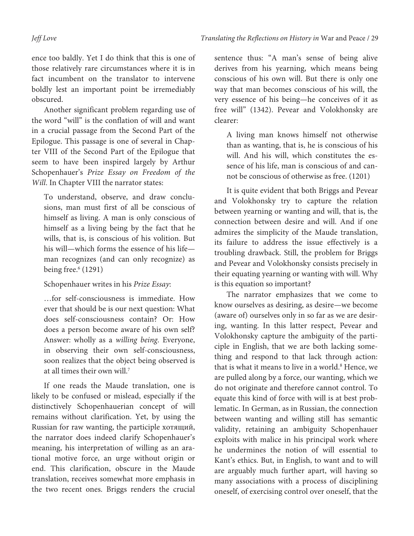ence too baldly. Yet I do think that this is one of those relatively rare circumstances where it is in fact incumbent on the translator to intervene boldly lest an important point be irremediably obscured.

Another significant problem regarding use of the word "will" is the conflation of will and want in a crucial passage from the Second Part of the Epilogue. This passage is one of several in Chapter VIII of the Second Part of the Epilogue that seem to have been inspired largely by Arthur Schopenhauer's Prize Essay on Freedom of the Will. In Chapter VIII the narrator states:

To understand, observe, and draw conclusions, man must first of all be conscious of himself as living. A man is only conscious of himself as a living being by the fact that he wills, that is, is conscious of his volition. But his will—which forms the essence of his life man recognizes (and can only recognize) as being free.<sup>6</sup> (1291)

Schopenhauer writes in his Prize Essay:

…for self-consciousness is immediate. How ever that should be is our next question: What does self-consciousness contain? Or: How does a person become aware of his own self? Answer: wholly as a willing being. Everyone, in observing their own self-consciousness, soon realizes that the object being observed is at all times their own will.<sup>7</sup>

If one reads the Maude translation, one is likely to be confused or mislead, especially if the distinctively Schopenhauerian concept of will remains without clarification. Yet, by using the Russian for raw wanting, the participle хотящий, the narrator does indeed clarify Schopenhauer's meaning, his interpretation of willing as an arational motive force, an urge without origin or end. This clarification, obscure in the Maude translation, receives somewhat more emphasis in the two recent ones. Briggs renders the crucial sentence thus: "A man's sense of being alive derives from his yearning, which means being conscious of his own will. But there is only one way that man becomes conscious of his will, the very essence of his being—he conceives of it as free will" (1342). Pevear and Volokhonsky are clearer:

A living man knows himself not otherwise than as wanting, that is, he is conscious of his will. And his will, which constitutes the essence of his life, man is conscious of and cannot be conscious of otherwise as free. (1201)

It is quite evident that both Briggs and Pevear and Volokhonsky try to capture the relation between yearning or wanting and will, that is, the connection between desire and will. And if one admires the simplicity of the Maude translation, its failure to address the issue effectively is a troubling drawback. Still, the problem for Briggs and Pevear and Volokhonsky consists precisely in their equating yearning or wanting with will. Why is this equation so important?

The narrator emphasizes that we come to know ourselves as desiring, as desire—we become (aware of) ourselves only in so far as we are desiring, wanting. In this latter respect, Pevear and Volokhonsky capture the ambiguity of the participle in English, that we are both lacking something and respond to that lack through action: that is what it means to live in a world.<sup>8</sup> Hence, we are pulled along by a force, our wanting, which we do not originate and therefore cannot control. To equate this kind of force with will is at best problematic. In German, as in Russian, the connection between wanting and willing still has semantic validity, retaining an ambiguity Schopenhauer exploits with malice in his principal work where he undermines the notion of will essential to Kant's ethics. But, in English, to want and to will are arguably much further apart, will having so many associations with a process of disciplining oneself, of exercising control over oneself, that the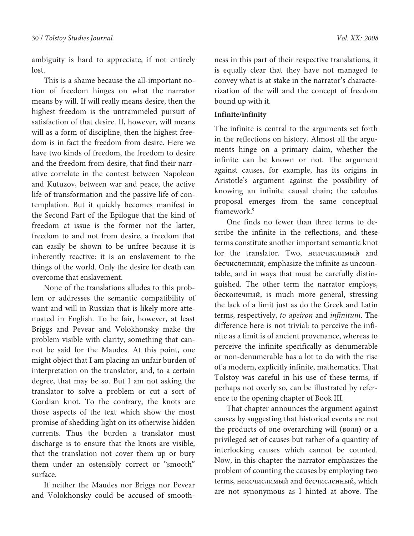ambiguity is hard to appreciate, if not entirely lost.

This is a shame because the all-important notion of freedom hinges on what the narrator means by will. If will really means desire, then the highest freedom is the untrammeled pursuit of satisfaction of that desire. If, however, will means will as a form of discipline, then the highest freedom is in fact the freedom from desire. Here we have two kinds of freedom, the freedom to desire and the freedom from desire, that find their narrative correlate in the contest between Napoleon and Kutuzov, between war and peace, the active life of transformation and the passive life of contemplation. But it quickly becomes manifest in the Second Part of the Epilogue that the kind of freedom at issue is the former not the latter, freedom to and not from desire, a freedom that can easily be shown to be unfree because it is inherently reactive: it is an enslavement to the things of the world. Only the desire for death can overcome that enslavement.

None of the translations alludes to this problem or addresses the semantic compatibility of want and will in Russian that is likely more attenuated in English. To be fair, however, at least Briggs and Pevear and Volokhonsky make the problem visible with clarity, something that cannot be said for the Maudes. At this point, one might object that I am placing an unfair burden of interpretation on the translator, and, to a certain degree, that may be so. But I am not asking the translator to solve a problem or cut a sort of Gordian knot. To the contrary, the knots are those aspects of the text which show the most promise of shedding light on its otherwise hidden currents. Thus the burden a translator must discharge is to ensure that the knots are visible, that the translation not cover them up or bury them under an ostensibly correct or "smooth" surface.

If neither the Maudes nor Briggs nor Pevear and Volokhonsky could be accused of smooth-

ness in this part of their respective translations, it is equally clear that they have not managed to convey what is at stake in the narrator's characterization of the will and the concept of freedom bound up with it.

#### **Infinite/infinity**

The infinite is central to the arguments set forth in the reflections on history. Almost all the arguments hinge on a primary claim, whether the infinite can be known or not. The argument against causes, for example, has its origins in Aristotle's argument against the possibility of knowing an infinite causal chain; the calculus proposal emerges from the same conceptual framework.<sup>9</sup>

One finds no fewer than three terms to describe the infinite in the reflections, and these terms constitute another important semantic knot for the translator. Two, неисчислимый and бесчисленный, emphasize the infinite as uncountable, and in ways that must be carefully distinguished. The other term the narrator employs, бесконечный, is much more general, stressing the lack of a limit just as do the Greek and Latin terms, respectively, to apeiron and infinitum. The difference here is not trivial: to perceive the infinite as a limit is of ancient provenance, whereas to perceive the infinite specifically as denumerable or non-denumerable has a lot to do with the rise of a modern, explicitly infinite, mathematics. That Tolstoy was careful in his use of these terms, if perhaps not overly so, can be illustrated by reference to the opening chapter of Book III.

That chapter announces the argument against causes by suggesting that historical events are not the products of one overarching will (воля) or a privileged set of causes but rather of a quantity of interlocking causes which cannot be counted. Now, in this chapter the narrator emphasizes the problem of counting the causes by employing two terms, неисчислимый and бесчисленный, which are not synonymous as I hinted at above. The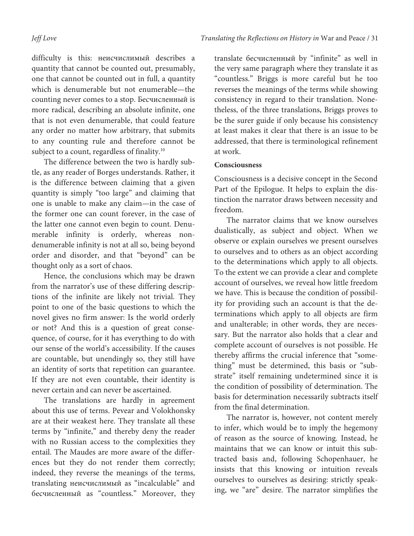difficulty is this: неисчислимый describes a quantity that cannot be counted out, presumably, one that cannot be counted out in full, a quantity which is denumerable but not enumerable—the counting never comes to a stop. Бесчисленный is more radical, describing an absolute infinite, one that is not even denumerable, that could feature any order no matter how arbitrary, that submits to any counting rule and therefore cannot be subject to a count, regardless of finality.<sup>10</sup>

The difference between the two is hardly subtle, as any reader of Borges understands. Rather, it is the difference between claiming that a given quantity is simply "too large" and claiming that one is unable to make any claim—in the case of the former one can count forever, in the case of the latter one cannot even begin to count. Denumerable infinity is orderly, whereas nondenumerable infinity is not at all so, being beyond order and disorder, and that "beyond" can be thought only as a sort of chaos.

Hence, the conclusions which may be drawn from the narrator's use of these differing descriptions of the infinite are likely not trivial. They point to one of the basic questions to which the novel gives no firm answer: Is the world orderly or not? And this is a question of great consequence, of course, for it has everything to do with our sense of the world's accessibility. If the causes are countable, but unendingly so, they still have an identity of sorts that repetition can guarantee. If they are not even countable, their identity is never certain and can never be ascertained.

The translations are hardly in agreement about this use of terms. Pevear and Volokhonsky are at their weakest here. They translate all these terms by "infinite," and thereby deny the reader with no Russian access to the complexities they entail. The Maudes are more aware of the differences but they do not render them correctly; indeed, they reverse the meanings of the terms, translating неисчислимый as "incalculable" and бесчисленный as "countless." Moreover, they

translate бесчисленный by "infinite" as well in the very same paragraph where they translate it as "countless." Briggs is more careful but he too reverses the meanings of the terms while showing consistency in regard to their translation. Nonetheless, of the three translations, Briggs proves to be the surer guide if only because his consistency at least makes it clear that there is an issue to be addressed, that there is terminological refinement at work.

#### **Consciousness**

Consciousness is a decisive concept in the Second Part of the Epilogue. It helps to explain the distinction the narrator draws between necessity and freedom.

The narrator claims that we know ourselves dualistically, as subject and object. When we observe or explain ourselves we present ourselves to ourselves and to others as an object according to the determinations which apply to all objects. To the extent we can provide a clear and complete account of ourselves, we reveal how little freedom we have. This is because the condition of possibility for providing such an account is that the determinations which apply to all objects are firm and unalterable; in other words, they are necessary. But the narrator also holds that a clear and complete account of ourselves is not possible. He thereby affirms the crucial inference that "something" must be determined, this basis or "substrate" itself remaining undetermined since it is the condition of possibility of determination. The basis for determination necessarily subtracts itself from the final determination.

The narrator is, however, not content merely to infer, which would be to imply the hegemony of reason as the source of knowing. Instead, he maintains that we can know or intuit this subtracted basis and, following Schopenhauer, he insists that this knowing or intuition reveals ourselves to ourselves as desiring: strictly speaking, we "are" desire. The narrator simplifies the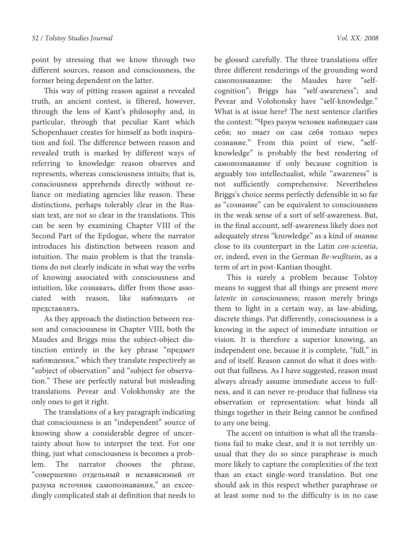point by stressing that we know through two different sources, reason and consciousness, the former being dependent on the latter.

This way of pitting reason against a revealed truth, an ancient contest, is filtered, however, through the lens of Kant's philosophy and, in particular, through that peculiar Kant which Schopenhauer creates for himself as both inspiration and foil. The difference between reason and revealed truth is marked by different ways of referring to knowledge: reason observes and represents, whereas consciousness intuits; that is, consciousness apprehends directly without reliance on mediating agencies like reason. These distinctions, perhaps tolerably clear in the Russian text, are not so clear in the translations. This can be seen by examining Chapter VIII of the Second Part of the Epilogue, where the narrator introduces his distinction between reason and intuition. The main problem is that the translations do not clearly indicate in what way the verbs of knowing associated with consciousness and intuition, like сознавать, differ from those associated with reason, like наблюдать or представлять.

As they approach the distinction between reason and consciousness in Chapter VIII, both the Maudes and Briggs miss the subject-object distinction entirely in the key phrase "предмет наблюдения," which they translate respectively as "subject of observation" and "subject for observation." These are perfectly natural but misleading translations. Pevear and Volokhonsky are the only ones to get it right.

The translations of a key paragraph indicating that consciousness is an "independent" source of knowing show a considerable degree of uncertainty about how to interpret the text. For one thing, just what consciousness is becomes a problem. The narrator chooses the phrase, "совершенно отдельный и независимый от разума источник самопознавания," an exceedingly complicated stab at definition that needs to

be glossed carefully. The three translations offer three different renderings of the grounding word самопознавание: the Maudes have "selfcognition"; Briggs has "self-awareness"; and Pevear and Volohonsky have "self-knowledge." What is at issue here? The next sentence clarifies the context: "Чрез разум человек наблюдает сам себя; но знает он сам себя только через сознание." From this point of view, "selfknowledge" is probably the best rendering of самопознавание if only because cognition is arguably too intellectualist, while "awareness" is not sufficiently comprehensive. Nevertheless Briggs's choice seems perfectly defensible in so far as "сознание" can be equivalent to consciousness in the weak sense of a sort of self-awareness. But, in the final account, self-awareness likely does not adequately stress "knowledge" as a kind of знание close to its counterpart in the Latin con-scientia, or, indeed, even in the German Be-wußtsein, as a

This is surely a problem because Tolstoy means to suggest that all things are present more latente in consciousness; reason merely brings them to light in a certain way, as law-abiding, discrete things. Put differently, consciousness is a knowing in the aspect of immediate intuition or vision. It is therefore a superior knowing, an independent one, because it is complete, "full," in and of itself. Reason cannot do what it does without that fullness. As I have suggested, reason must always already assume immediate access to fullness, and it can never re-produce that fullness via observation or representation: what binds all things together in their Being cannot be confined to any one being.

term of art in post-Kantian thought.

The accent on intuition is what all the translations fail to make clear, and it is not terribly unusual that they do so since paraphrase is much more likely to capture the complexities of the text than an exact single-word translation. But one should ask in this respect whether paraphrase or at least some nod to the difficulty is in no case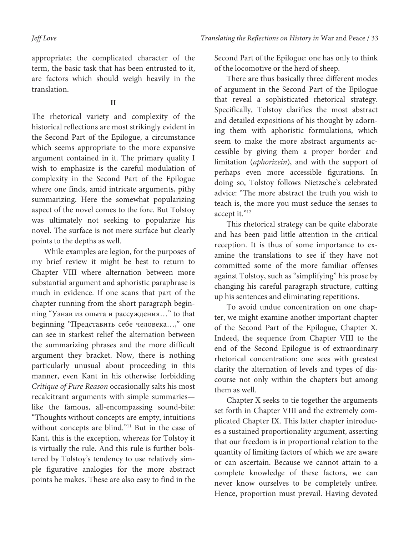appropriate; the complicated character of the term, the basic task that has been entrusted to it, are factors which should weigh heavily in the translation.

#### **II**

The rhetorical variety and complexity of the historical reflections are most strikingly evident in the Second Part of the Epilogue, a circumstance which seems appropriate to the more expansive argument contained in it. The primary quality I wish to emphasize is the careful modulation of complexity in the Second Part of the Epilogue where one finds, amid intricate arguments, pithy summarizing. Here the somewhat popularizing aspect of the novel comes to the fore. But Tolstoy was ultimately not seeking to popularize his novel. The surface is not mere surface but clearly points to the depths as well.

While examples are legion, for the purposes of my brief review it might be best to return to Chapter VIII where alternation between more substantial argument and aphoristic paraphrase is much in evidence. If one scans that part of the chapter running from the short paragraph beginning "Узнав из опыта и рассуждения…" to that beginning "Представить себе человека…," one can see in starkest relief the alternation between the summarizing phrases and the more difficult argument they bracket. Now, there is nothing particularly unusual about proceeding in this manner, even Kant in his otherwise forbidding Critique of Pure Reason occasionally salts his most recalcitrant arguments with simple summaries like the famous, all-encompassing sound-bite: "Thoughts without concepts are empty, intuitions without concepts are blind."<sup>11</sup> But in the case of Kant, this is the exception, whereas for Tolstoy it is virtually the rule. And this rule is further bolstered by Tolstoy's tendency to use relatively simple figurative analogies for the more abstract points he makes. These are also easy to find in the

Second Part of the Epilogue: one has only to think of the locomotive or the herd of sheep.

There are thus basically three different modes of argument in the Second Part of the Epilogue that reveal a sophisticated rhetorical strategy. Specifically, Tolstoy clarifies the most abstract and detailed expositions of his thought by adorning them with aphoristic formulations, which seem to make the more abstract arguments accessible by giving them a proper border and limitation (aphorizein), and with the support of perhaps even more accessible figurations. In doing so, Tolstoy follows Nietzsche's celebrated advice: "The more abstract the truth you wish to teach is, the more you must seduce the senses to accept it."<sup>12</sup>

This rhetorical strategy can be quite elaborate and has been paid little attention in the critical reception. It is thus of some importance to examine the translations to see if they have not committed some of the more familiar offenses against Tolstoy, such as "simplifying" his prose by changing his careful paragraph structure, cutting up his sentences and eliminating repetitions.

To avoid undue concentration on one chapter, we might examine another important chapter of the Second Part of the Epilogue, Chapter X. Indeed, the sequence from Chapter VIII to the end of the Second Epilogue is of extraordinary rhetorical concentration: one sees with greatest clarity the alternation of levels and types of discourse not only within the chapters but among them as well.

Chapter X seeks to tie together the arguments set forth in Chapter VIII and the extremely complicated Chapter IX. This latter chapter introduces a sustained proportionality argument, asserting that our freedom is in proportional relation to the quantity of limiting factors of which we are aware or can ascertain. Because we cannot attain to a complete knowledge of these factors, we can never know ourselves to be completely unfree. Hence, proportion must prevail. Having devoted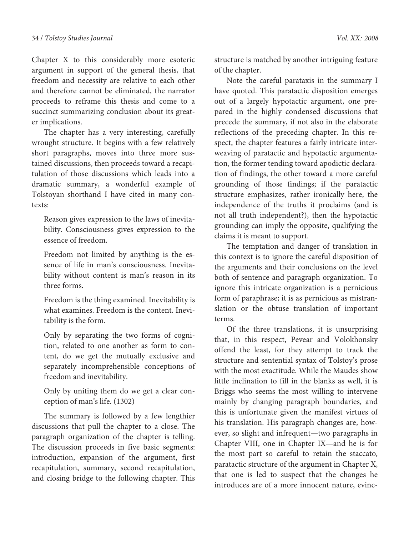Chapter X to this considerably more esoteric argument in support of the general thesis, that freedom and necessity are relative to each other and therefore cannot be eliminated, the narrator proceeds to reframe this thesis and come to a succinct summarizing conclusion about its greater implications.

The chapter has a very interesting, carefully wrought structure. It begins with a few relatively short paragraphs, moves into three more sustained discussions, then proceeds toward a recapitulation of those discussions which leads into a dramatic summary, a wonderful example of Tolstoyan shorthand I have cited in many contexts:

Reason gives expression to the laws of inevitability. Consciousness gives expression to the essence of freedom.

Freedom not limited by anything is the essence of life in man's consciousness. Inevitability without content is man's reason in its three forms.

Freedom is the thing examined. Inevitability is what examines. Freedom is the content. Inevitability is the form.

Only by separating the two forms of cognition, related to one another as form to content, do we get the mutually exclusive and separately incomprehensible conceptions of freedom and inevitability.

Only by uniting them do we get a clear conception of man's life. (1302)

The summary is followed by a few lengthier discussions that pull the chapter to a close. The paragraph organization of the chapter is telling. The discussion proceeds in five basic segments: introduction, expansion of the argument, first recapitulation, summary, second recapitulation, and closing bridge to the following chapter. This structure is matched by another intriguing feature of the chapter.

Note the careful parataxis in the summary I have quoted. This paratactic disposition emerges out of a largely hypotactic argument, one prepared in the highly condensed discussions that precede the summary, if not also in the elaborate reflections of the preceding chapter. In this respect, the chapter features a fairly intricate interweaving of paratactic and hypotactic argumentation, the former tending toward apodictic declaration of findings, the other toward a more careful grounding of those findings; if the paratactic structure emphasizes, rather ironically here, the independence of the truths it proclaims (and is not all truth independent?), then the hypotactic grounding can imply the opposite, qualifying the claims it is meant to support.

The temptation and danger of translation in this context is to ignore the careful disposition of the arguments and their conclusions on the level both of sentence and paragraph organization. To ignore this intricate organization is a pernicious form of paraphrase; it is as pernicious as mistranslation or the obtuse translation of important terms.

Of the three translations, it is unsurprising that, in this respect, Pevear and Volokhonsky offend the least, for they attempt to track the structure and sentential syntax of Tolstoy's prose with the most exactitude. While the Maudes show little inclination to fill in the blanks as well, it is Briggs who seems the most willing to intervene mainly by changing paragraph boundaries, and this is unfortunate given the manifest virtues of his translation. His paragraph changes are, however, so slight and infrequent—two paragraphs in Chapter VIII, one in Chapter IX—and he is for the most part so careful to retain the staccato, paratactic structure of the argument in Chapter X, that one is led to suspect that the changes he introduces are of a more innocent nature, evinc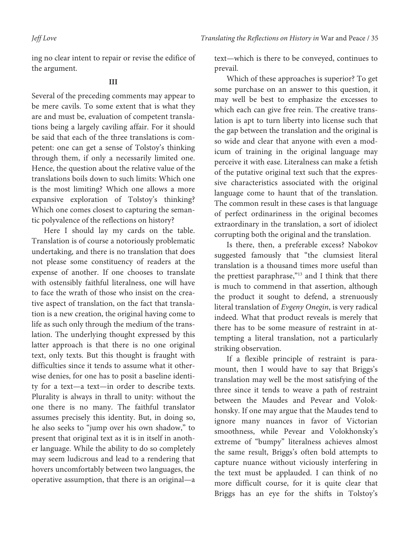ing no clear intent to repair or revise the edifice of the argument.

### **III**

Several of the preceding comments may appear to be mere cavils. To some extent that is what they are and must be, evaluation of competent translations being a largely caviling affair. For it should be said that each of the three translations is competent: one can get a sense of Tolstoy's thinking through them, if only a necessarily limited one. Hence, the question about the relative value of the translations boils down to such limits: Which one is the most limiting? Which one allows a more expansive exploration of Tolstoy's thinking? Which one comes closest to capturing the semantic polyvalence of the reflections on history?

Here I should lay my cards on the table. Translation is of course a notoriously problematic undertaking, and there is no translation that does not please some constituency of readers at the expense of another. If one chooses to translate with ostensibly faithful literalness, one will have to face the wrath of those who insist on the creative aspect of translation, on the fact that translation is a new creation, the original having come to life as such only through the medium of the translation. The underlying thought expressed by this latter approach is that there is no one original text, only texts. But this thought is fraught with difficulties since it tends to assume what it otherwise denies, for one has to posit a baseline identity for a text—a text—in order to describe texts. Plurality is always in thrall to unity: without the one there is no many. The faithful translator assumes precisely this identity. But, in doing so, he also seeks to "jump over his own shadow," to present that original text as it is in itself in another language. While the ability to do so completely may seem ludicrous and lead to a rendering that hovers uncomfortably between two languages, the operative assumption, that there is an original—a

text—which is there to be conveyed, continues to prevail.

Which of these approaches is superior? To get some purchase on an answer to this question, it may well be best to emphasize the excesses to which each can give free rein. The creative translation is apt to turn liberty into license such that the gap between the translation and the original is so wide and clear that anyone with even a modicum of training in the original language may perceive it with ease. Literalness can make a fetish of the putative original text such that the expressive characteristics associated with the original language come to haunt that of the translation. The common result in these cases is that language of perfect ordinariness in the original becomes extraordinary in the translation, a sort of idiolect corrupting both the original and the translation.

Is there, then, a preferable excess? Nabokov suggested famously that "the clumsiest literal translation is a thousand times more useful than the prettiest paraphrase,"<sup>13</sup> and I think that there is much to commend in that assertion, although the product it sought to defend, a strenuously literal translation of Evgeny Onegin, is very radical indeed. What that product reveals is merely that there has to be some measure of restraint in attempting a literal translation, not a particularly striking observation.

If a flexible principle of restraint is paramount, then I would have to say that Briggs's translation may well be the most satisfying of the three since it tends to weave a path of restraint between the Maudes and Pevear and Volokhonsky. If one may argue that the Maudes tend to ignore many nuances in favor of Victorian smoothness, while Pevear and Volokhonsky's extreme of "bumpy" literalness achieves almost the same result, Briggs's often bold attempts to capture nuance without viciously interfering in the text must be applauded. I can think of no more difficult course, for it is quite clear that Briggs has an eye for the shifts in Tolstoy's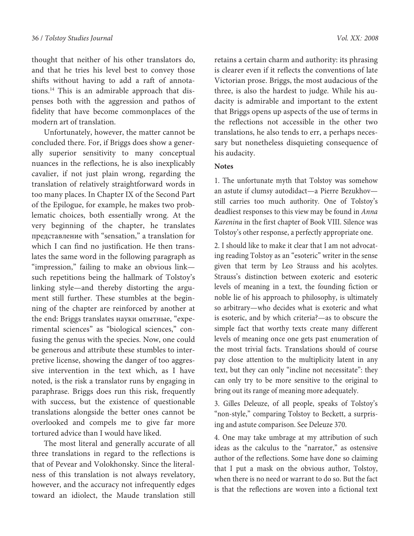thought that neither of his other translators do, and that he tries his level best to convey those shifts without having to add a raft of annotations.14 This is an admirable approach that dispenses both with the aggression and pathos of fidelity that have become commonplaces of the modern art of translation.

Unfortunately, however, the matter cannot be concluded there. For, if Briggs does show a generally superior sensitivity to many conceptual nuances in the reflections, he is also inexplicably cavalier, if not just plain wrong, regarding the translation of relatively straightforward words in too many places. In Chapter IX of the Second Part of the Epilogue, for example, he makes two problematic choices, both essentially wrong. At the very beginning of the chapter, he translates представление with "sensation," a translation for which I can find no justification. He then translates the same word in the following paragraph as "impression," failing to make an obvious link such repetitions being the hallmark of Tolstoy's linking style—and thereby distorting the argument still further. These stumbles at the beginning of the chapter are reinforced by another at the end: Briggs translates науки опытные, "experimental sciences" as "biological sciences," confusing the genus with the species. Now, one could be generous and attribute these stumbles to interpretive license, showing the danger of too aggressive intervention in the text which, as I have noted, is the risk a translator runs by engaging in paraphrase. Briggs does run this risk, frequently with success, but the existence of questionable translations alongside the better ones cannot be overlooked and compels me to give far more tortured advice than I would have liked.

The most literal and generally accurate of all three translations in regard to the reflections is that of Pevear and Volokhonsky. Since the literalness of this translation is not always revelatory, however, and the accuracy not infrequently edges toward an idiolect, the Maude translation still

retains a certain charm and authority: its phrasing is clearer even if it reflects the conventions of late Victorian prose. Briggs, the most audacious of the three, is also the hardest to judge. While his audacity is admirable and important to the extent that Briggs opens up aspects of the use of terms in the reflections not accessible in the other two translations, he also tends to err, a perhaps necessary but nonetheless disquieting consequence of his audacity.

#### **Notes**

1. The unfortunate myth that Tolstoy was somehow an astute if clumsy autodidact—a Pierre Bezukhov still carries too much authority. One of Tolstoy's deadliest responses to this view may be found in Anna Karenina in the first chapter of Book VIII. Silence was Tolstoy's other response, a perfectly appropriate one.

2. I should like to make it clear that I am not advocating reading Tolstoy as an "esoteric" writer in the sense given that term by Leo Strauss and his acolytes. Strauss's distinction between exoteric and esoteric levels of meaning in a text, the founding fiction or noble lie of his approach to philosophy, is ultimately so arbitrary—who decides what is exoteric and what is esoteric, and by which criteria?—as to obscure the simple fact that worthy texts create many different levels of meaning once one gets past enumeration of the most trivial facts. Translations should of course pay close attention to the multiplicity latent in any text, but they can only "incline not necessitate": they can only try to be more sensitive to the original to bring out its range of meaning more adequately.

3. Gilles Deleuze, of all people, speaks of Tolstoy's "non-style," comparing Tolstoy to Beckett, a surprising and astute comparison. See Deleuze 370.

4. One may take umbrage at my attribution of such ideas as the calculus to the "narrator," as ostensive author of the reflections. Some have done so claiming that I put a mask on the obvious author, Tolstoy, when there is no need or warrant to do so. But the fact is that the reflections are woven into a fictional text